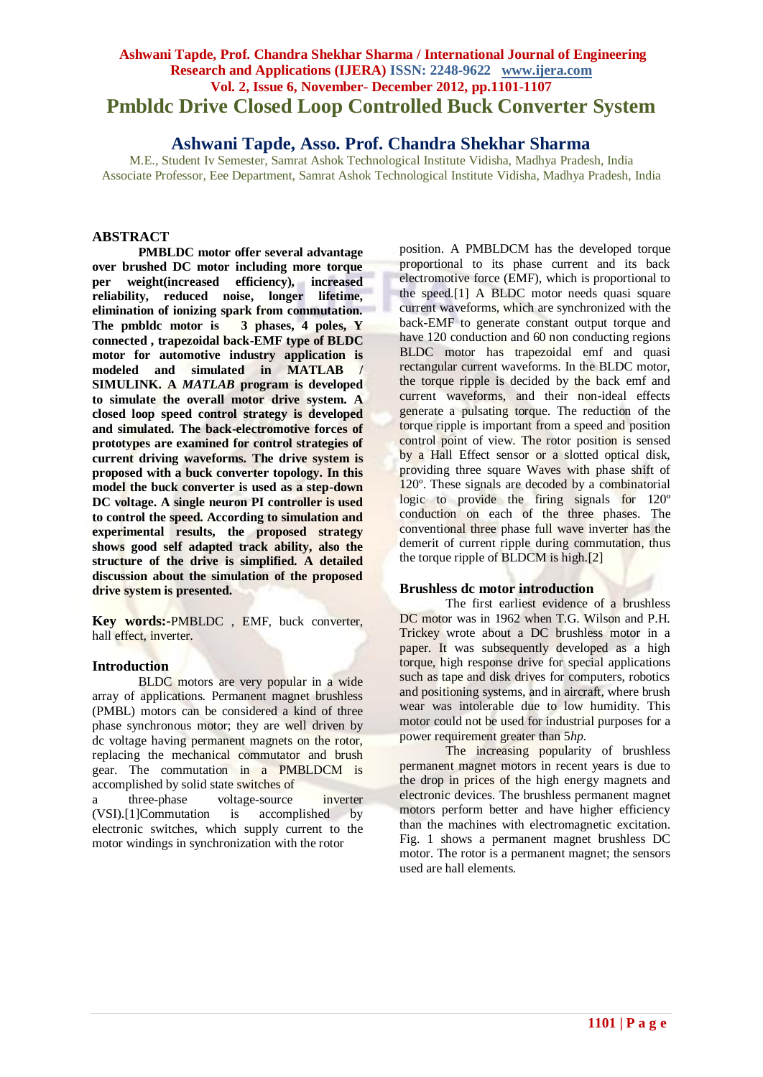# **Ashwani Tapde, Prof. Chandra Shekhar Sharma / International Journal of Engineering Research and Applications (IJERA) ISSN: 2248-9622 www.ijera.com Vol. 2, Issue 6, November- December 2012, pp.1101-1107 Pmbldc Drive Closed Loop Controlled Buck Converter System**

**Ashwani Tapde, Asso. Prof. Chandra Shekhar Sharma**

M.E., Student Iv Semester, Samrat Ashok Technological Institute Vidisha, Madhya Pradesh, India Associate Professor, Eee Department, Samrat Ashok Technological Institute Vidisha, Madhya Pradesh, India

### **ABSTRACT**

**PMBLDC motor offer several advantage over brushed DC motor including more torque per weight(increased efficiency), increased reliability, reduced noise, longer lifetime, elimination of ionizing spark from commutation. The pmbldc motor is 3 phases, 4 poles, Y connected , trapezoidal back-EMF type of BLDC motor for automotive industry application is modeled and simulated in MATLAB / SIMULINK. A** *MATLAB* **program is developed to simulate the overall motor drive system. A closed loop speed control strategy is developed and simulated. The back-electromotive forces of prototypes are examined for control strategies of current driving waveforms. The drive system is proposed with a buck converter topology. In this model the buck converter is used as a step-down DC voltage. A single neuron PI controller is used to control the speed. According to simulation and experimental results, the proposed strategy shows good self adapted track ability, also the structure of the drive is simplified. A detailed discussion about the simulation of the proposed drive system is presented.**

**Key words:-**PMBLDC , EMF, buck converter, hall effect, inverter.

#### **Introduction**

BLDC motors are very popular in a wide array of applications. Permanent magnet brushless (PMBL) motors can be considered a kind of three phase synchronous motor; they are well driven by dc voltage having permanent magnets on the rotor, replacing the mechanical commutator and brush gear. The commutation in a PMBLDCM is accomplished by solid state switches of

a three-phase voltage-source inverter (VSI).[1]Commutation is accomplished by electronic switches, which supply current to the motor windings in synchronization with the rotor

position. A PMBLDCM has the developed torque proportional to its phase current and its back electromotive force (EMF), which is proportional to the speed.[1] A BLDC motor needs quasi square current waveforms, which are synchronized with the back-EMF to generate constant output torque and have 120 conduction and 60 non conducting regions BLDC motor has trapezoidal emf and quasi rectangular current waveforms. In the BLDC motor, the torque ripple is decided by the back emf and current waveforms, and their non-ideal effects generate a pulsating torque. The reduction of the torque ripple is important from a speed and position control point of view. The rotor position is sensed by a Hall Effect sensor or a slotted optical disk, providing three square Waves with phase shift of 120<sup>°</sup>. These signals are decoded by a combinatorial logic to provide the firing signals for 120º conduction on each of the three phases. The conventional three phase full wave inverter has the demerit of current ripple during commutation, thus the torque ripple of BLDCM is high.[2]

### **Brushless dc motor introduction**

The first earliest evidence of a brushless DC motor was in 1962 when T.G. Wilson and P.H. Trickey wrote about a DC brushless motor in a paper. It was subsequently developed as a high torque, high response drive for special applications such as tape and disk drives for computers, robotics and positioning systems, and in aircraft, where brush wear was intolerable due to low humidity. This motor could not be used for industrial purposes for a power requirement greater than 5*hp*.

The increasing popularity of brushless permanent magnet motors in recent years is due to the drop in prices of the high energy magnets and electronic devices. The brushless permanent magnet motors perform better and have higher efficiency than the machines with electromagnetic excitation. Fig. 1 shows a permanent magnet brushless DC motor. The rotor is a permanent magnet; the sensors used are hall elements.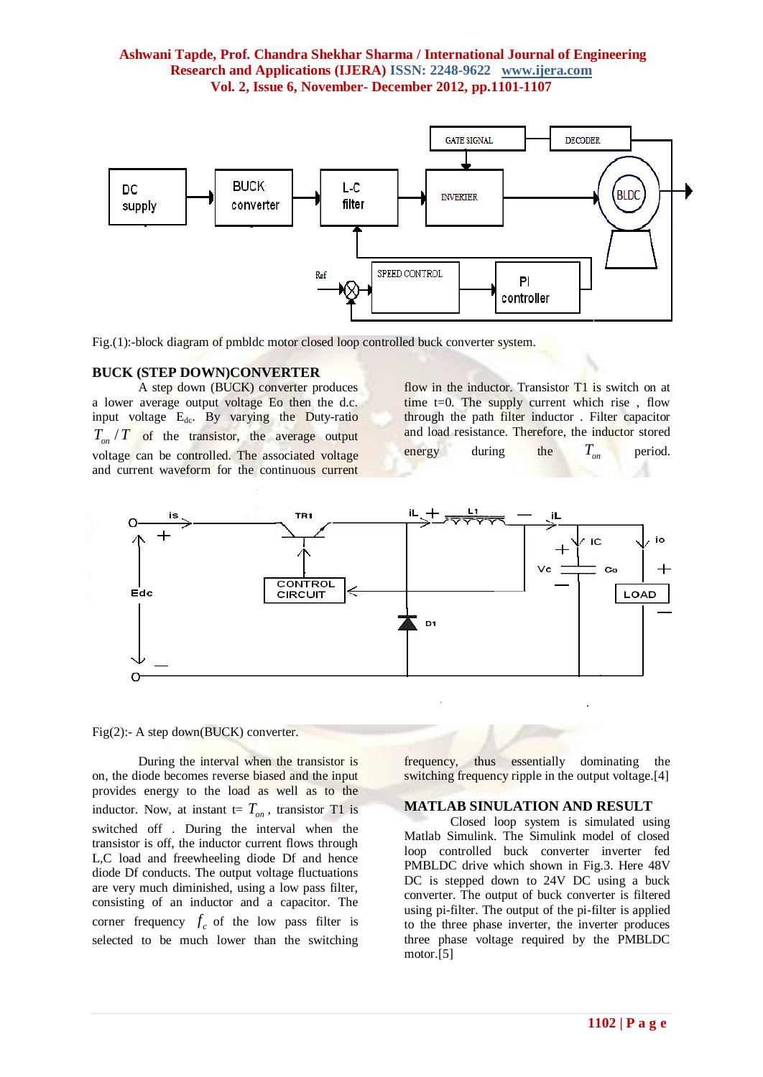

Fig.(1):-block diagram of pmbldc motor closed loop controlled buck converter system.

#### **BUCK (STEP DOWN)CONVERTER**

A step down (BUCK) converter produces a lower average output voltage Eo then the d.c. input voltage E<sub>dc</sub>. By varying the Duty-ratio  $T_{on}$  /  $T_{on}$  of the transistor, the average output voltage can be controlled. The associated voltage and current waveform for the continuous current

flow in the inductor. Transistor  $T1$  is switch on at time t=0. The supply current which rise, flow through the path filter inductor . Filter capacitor and load resistance. Therefore, the inductor stored energy during the *T on* period.

л



Fig(2):- A step down(BUCK) converter.

During the interval when the transistor is on, the diode becomes reverse biased and the input provides energy to the load as well as to the inductor. Now, at instant  $t = T_{on}$ , transistor T1 is switched off . During the interval when the transistor is off, the inductor current flows through L,C load and freewheeling diode Df and hence diode Df conducts. The output voltage fluctuations are very much diminished, using a low pass filter, consisting of an inductor and a capacitor. The corner frequency  $f_c$  of the low pass filter is selected to be much lower than the switching

frequency, thus essentially dominating the switching frequency ripple in the output voltage.[4]

#### **MATLAB SINULATION AND RESULT**

Closed loop system is simulated using Matlab Simulink. The Simulink model of closed loop controlled buck converter inverter fed PMBLDC drive which shown in Fig.3. Here 48V DC is stepped down to 24V DC using a buck converter. The output of buck converter is filtered using pi-filter. The output of the pi-filter is applied to the three phase inverter, the inverter produces three phase voltage required by the PMBLDC motor.[5]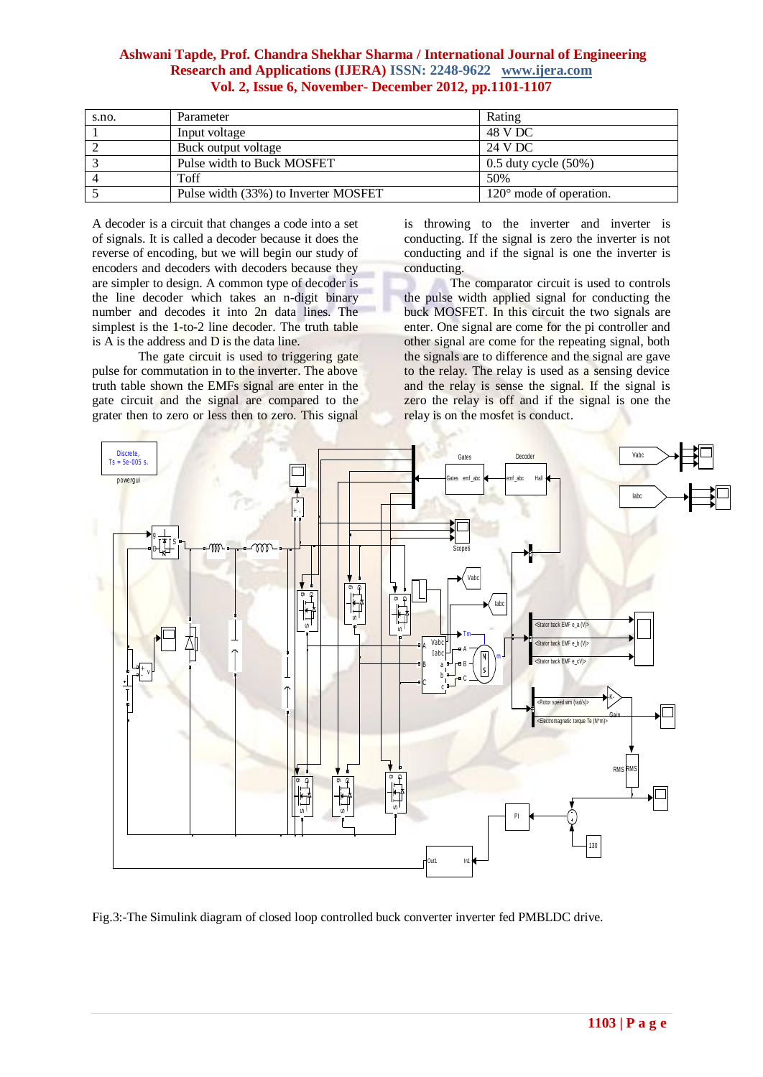| s.no. | Parameter                            | Rating                           |
|-------|--------------------------------------|----------------------------------|
|       | Input voltage                        | 48 V DC                          |
|       | Buck output voltage                  | 24 V DC                          |
|       | Pulse width to Buck MOSFET           | $0.5$ duty cycle $(50\%)$        |
|       | Toff                                 | 50%                              |
|       | Pulse width (33%) to Inverter MOSFET | $120^{\circ}$ mode of operation. |

A decoder is a circuit that changes a code into a set of signals. It is called a decoder because it does the reverse of encoding, but we will begin our study of encoders and decoders with decoders because they are simpler to design. A common type of decoder is the line decoder which takes an n-digit binary number and decodes it into 2n data lines. The simplest is the 1-to-2 line decoder. The truth table is A is the address and D is the data line.

The gate circuit is used to triggering gate pulse for commutation in to the inverter. The above truth table shown the EMFs signal are enter in the gate circuit and the signal are compared to the is throwing to the inverter and inverter is conducting. If the signal is zero the inverter is not conducting and if the signal is one the inverter is conducting.

The comparator circuit is used to controls the pulse width applied signal for conducting the buck MOSFET. In this circuit the two signals are enter. One signal are come for the pi controller and other signal are come for the repeating signal, both the signals are to difference and the signal are gave to the relay. The relay is used as a sensing device and the relay is sense the signal. If the signal is zero the relay is off and if the signal is one the relay is on the mosfet is conduct.



Fig.3:-The Simulink diagram of closed loop controlled buck converter inverter fed PMBLDC drive.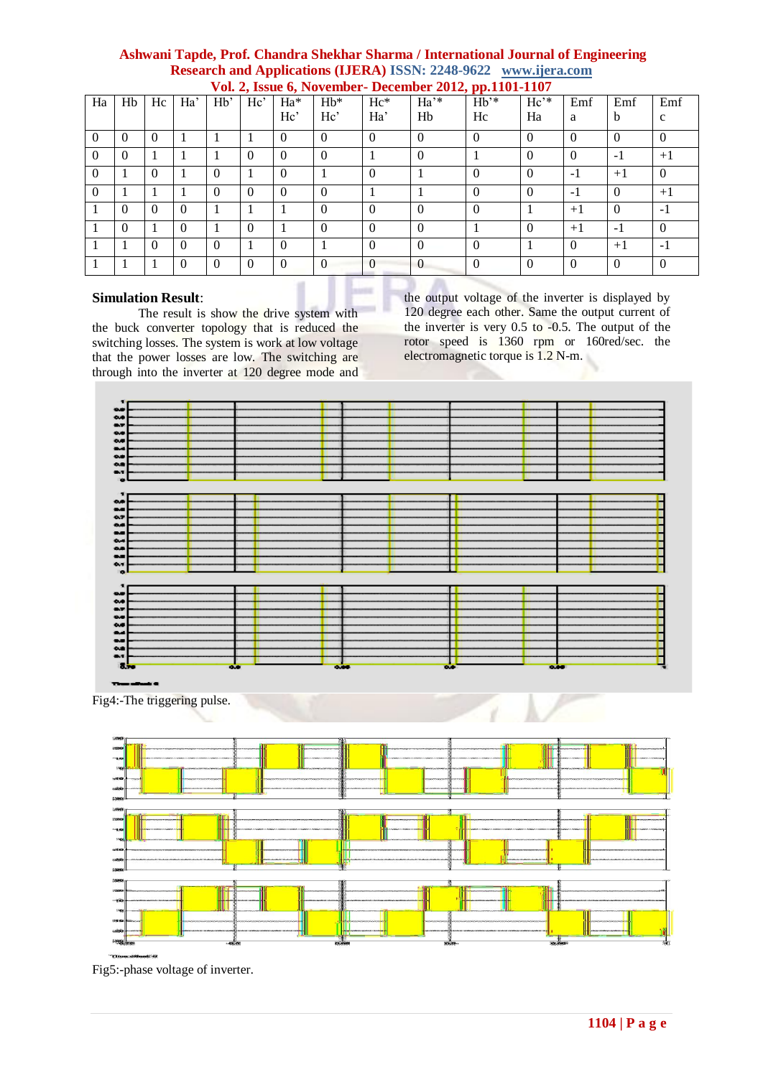| Ha       | Hb       | Hc       | Ha'      | H <sub>b</sub> ' | $-$ , $-$<br>Hc' | $\sim$ $\sim$ $\sim$<br>Ha* | $Hb*$    | $He*$    | $Ha^*$   | $F^{\prime}$ $\rightarrow$ $\rightarrow$ $\rightarrow$<br>$Hb^*$ | $- - -$<br>He <sup>4</sup> | Emf      | Emf      | Emf            |
|----------|----------|----------|----------|------------------|------------------|-----------------------------|----------|----------|----------|------------------------------------------------------------------|----------------------------|----------|----------|----------------|
|          |          |          |          |                  |                  | Hc'                         | Hc'      | Ha'      | Hb       | Hc                                                               | Ha                         | a        | b        | $\mathbf{c}$   |
| 0        | 0        | $\theta$ |          |                  |                  | $\theta$                    | $\Omega$ | 0        | $\Omega$ | $\Omega$                                                         | $\theta$                   | $\Omega$ | $\Omega$ | $\overline{0}$ |
| $\theta$ |          |          |          |                  | $\theta$         | $\theta$                    | $\Omega$ |          | $\theta$ |                                                                  | $\theta$                   | $\Omega$ | - 1      | $+1$           |
| $\theta$ |          | $\Omega$ |          | $\Omega$         |                  | $\theta$                    |          | 0        |          | $\Omega$                                                         | $\theta$                   | - 1      | $+1$     | $\overline{0}$ |
|          |          |          |          | $\Omega$         | $\Omega$         | $\Omega$                    | 0        |          |          | $\Omega$                                                         | $\Omega$                   | - 1      | $\Omega$ | $+1$           |
|          | 0        | $\Omega$ | $\Omega$ |                  |                  |                             | $\Omega$ | 0        | $\Omega$ | $\Omega$                                                         |                            | $+1$     | $\Omega$ | $-1$           |
|          | $\Omega$ |          | 0        |                  | $\theta$         |                             | $\Omega$ | 0        | $\Omega$ |                                                                  | $\Omega$                   | $+1$     | - 1      | $\Omega$       |
|          |          | $\Omega$ | $\theta$ | $\Omega$         |                  | $\theta$                    |          | 0        | $\Omega$ | $\Omega$                                                         |                            | 0        | $+1$     | $-1$           |
|          |          |          | 0        | $\Omega$         | $\Omega$         | $\Omega$                    | $\Omega$ | $\Omega$ | $\Omega$ | $\Omega$                                                         | $\Omega$                   |          | $\Omega$ | $\Omega$       |

#### **Simulation Result**:

The result is show the drive system with the buck converter topology that is reduced the switching losses. The system is work at low voltage that the power losses are low. The switching are through into the inverter at 120 degree mode and the output voltage of the inverter is displayed by 120 degree each other. Same the output current of the inverter is very 0.5 to -0.5. The output of the rotor speed is 1360 rpm or 160red/sec. the electromagnetic torque is 1.2 N-m.



Fig4:-The triggering pulse.



Fig5:-phase voltage of inverter.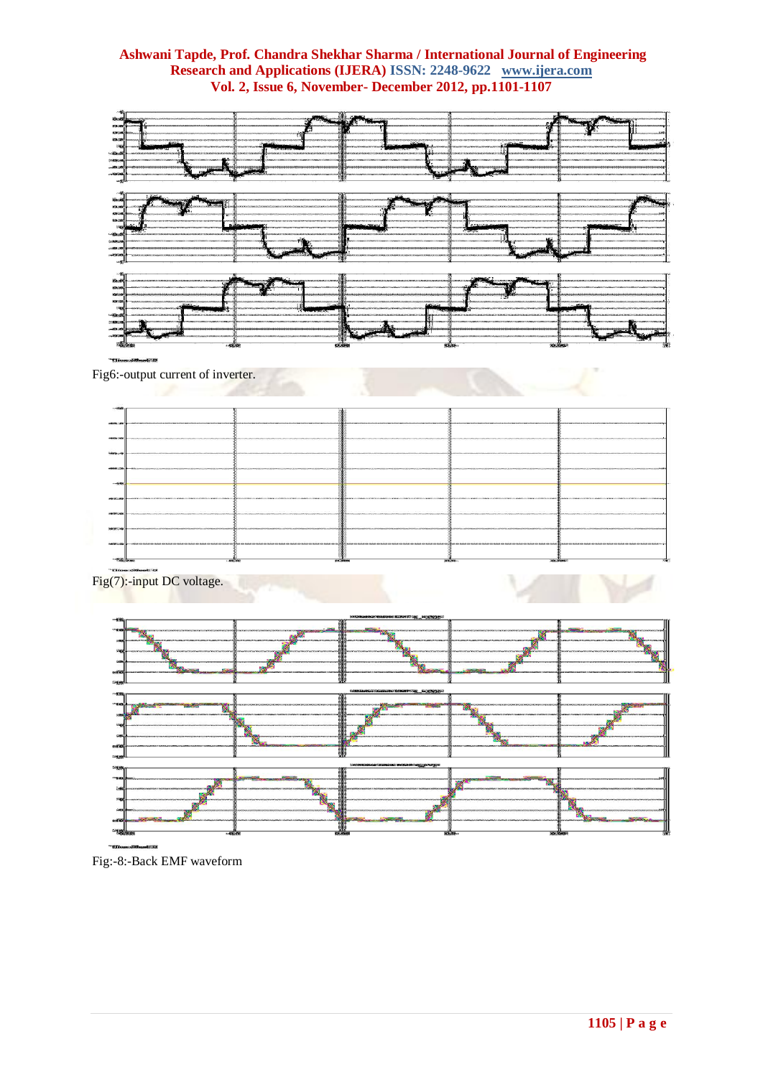

Fig:-8:-Back EMF waveform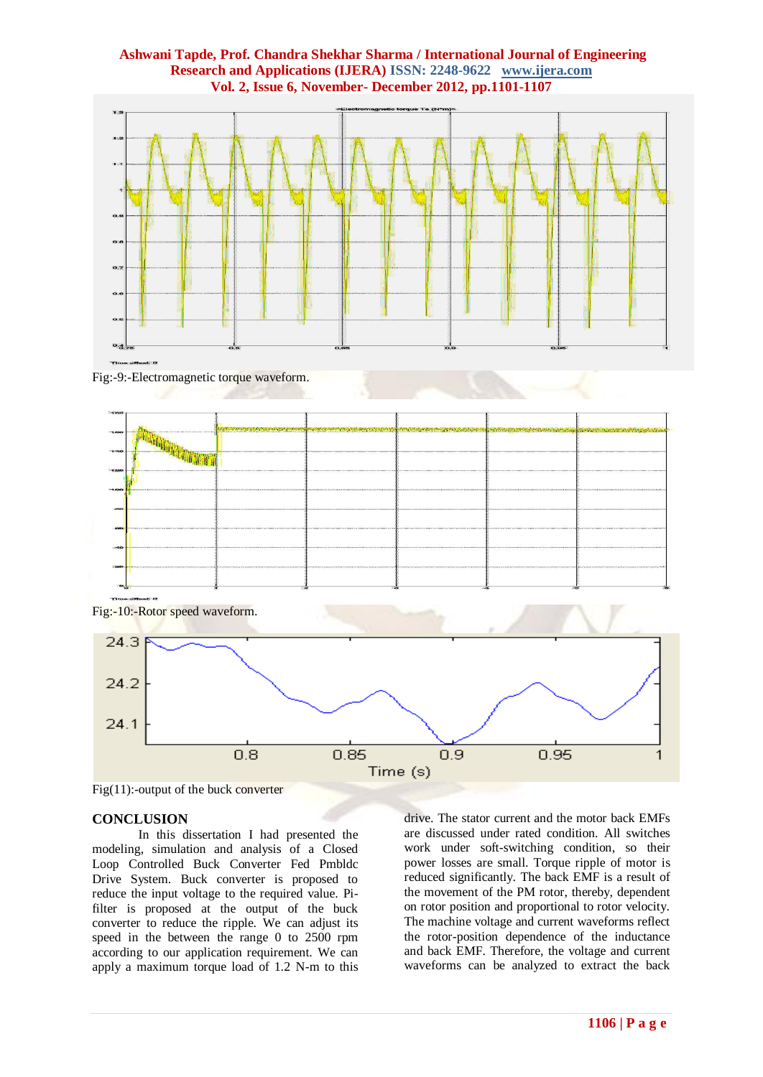

Fig:-9:-Electromagnetic torque waveform.





Fig(11):-output of the buck converter

### **CONCLUSION**

In this dissertation I had presented the modeling, simulation and analysis of a Closed Loop Controlled Buck Converter Fed Pmbldc Drive System. Buck converter is proposed to reduce the input voltage to the required value. Pifilter is proposed at the output of the buck converter to reduce the ripple. We can adjust its speed in the between the range 0 to 2500 rpm according to our application requirement. We can apply a maximum torque load of 1.2 N-m to this drive. The stator current and the motor back EMFs are discussed under rated condition. All switches work under soft-switching condition, so their power losses are small. Torque ripple of motor is reduced significantly. The back EMF is a result of the movement of the PM rotor, thereby, dependent on rotor position and proportional to rotor velocity. The machine voltage and current waveforms reflect the rotor-position dependence of the inductance and back EMF. Therefore, the voltage and current waveforms can be analyzed to extract the back